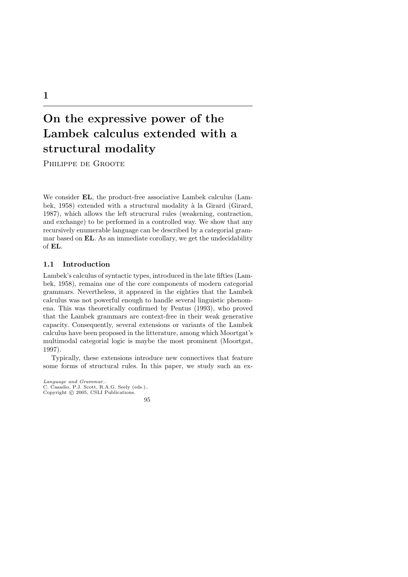# On the expressive power of the Lambek calculus extended with a structural modality

Philippe de Groote

We consider EL, the product-free associative Lambek calculus (Lambek, 1958) extended with a structural modality à la Girard (Girard, 1987), which allows the left strucrural rules (weakening, contraction, and exchange) to be performed in a controlled way. We show that any recursively enumerable language can be described by a categorial grammar based on EL. As an immediate corollary, we get the undecidability of EL.

## 1.1 Introduction

Lambek's calculus of syntactic types, introduced in the late fifties (Lambek, 1958), remains one of the core components of modern categorial grammars. Nevertheless, it appeared in the eighties that the Lambek calculus was not powerful enough to handle several linguistic phenomena. This was theoretically confirmed by Pentus (1993), who proved that the Lambek grammars are context-free in their weak generative capacity. Consequently, several extensions or variants of the Lambek calculus have been proposed in the litterature, among which Moortgat's multimodal categorial logic is maybe the most prominent (Moortgat, 1997).

Typically, these extensions introduce new connectives that feature some forms of structural rules. In this paper, we study such an ex-

*Language and Grammar.*. C. Casadio, P.J. Scott, R.A.G. Seely (eds.).. Copyright  $\odot$  2005, CSLI Publications.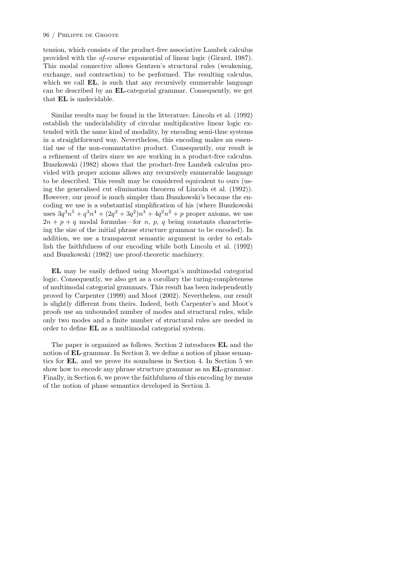tension, which consists of the product-free associative Lambek calculus provided with the *of-course* exponential of linear logic (Girard, 1987). This modal connective allows Gentzen's structural rules (weakening, exchange, and contraction) to be performed. The resulting calculus, which we call **EL**, is such that any recursively enumerable language can be described by an EL-categorial grammar. Consequently, we get that EL is undecidable.

Similar results may be found in the litterature. Lincoln et al. (1992) establish the undecidability of circular multiplicative linear logic extended with the same kind of modality, by encoding semi-thue systems in a straightforward way. Nevertheless, this encoding makes an essential use of the non-commutative product. Consequently, our result is a refinement of theirs since we are working in a product-free calculus. Buszkowski (1982) shows that the product-free Lambek calculus provided with proper axioms allows any recursively enumerable language to be described. This result may be considered equivalent to ours (using the generalised cut elimination theorem of Lincoln et al. (1992)). However, our proof is much simpler than Buszkowski's because the encoding we use is a substantial simplification of his (where Buszkowski uses  $3q^3n^5 + q^3n^4 + (2q^3 + 3q^2)n^3 + 4q^2n^2 + p$  proper axioms, we use  $2n + p + q$  modal formulas—for *n*, *p*, *q* being constants characterising the size of the initial phrase structure grammar to be encoded). In addition, we use a transparent semantic argument in order to establish the faithfulness of our encoding while both Lincoln et al. (1992) and Buszkowski (1982) use proof-theoretic machinery.

EL may be easily defined using Moortgat's multimodal categorial logic. Consequently, we also get as a corollary the turing-completeness of multimodal categorial grammars. This result has been independently proved by Carpenter (1999) and Moot (2002). Nevertheless, our result is slightly different from theirs. Indeed, both Carpenter's and Moot's proofs use an unbounded number of modes and structural rules, while only two modes and a finite number of structural rules are needed in order to define EL as a multimodal categorial system.

The paper is organized as follows. Section 2 introduces EL and the notion of **EL**-grammar. In Section 3, we define a notion of phase semantics for EL, and we prove its soundness in Section 4. In Section 5 we show how to encode any phrase structure grammar as an EL-grammar. Finally, in Section 6, we prove the faithfulness of this encoding by means of the notion of phase semantics developed in Section 3.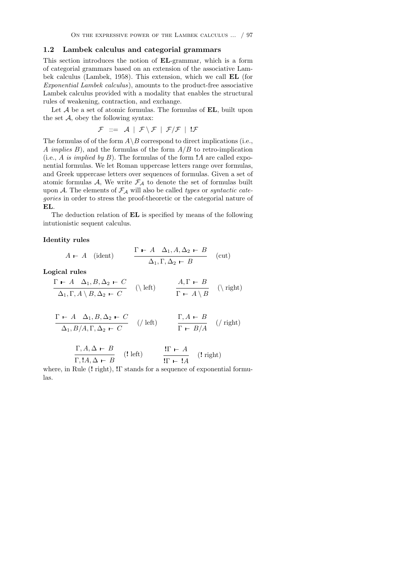#### 1.2 Lambek calculus and categorial grammars

This section introduces the notion of EL-grammar, which is a form of categorial grammars based on an extension of the associative Lambek calculus (Lambek, 1958). This extension, which we call EL (for *Exponential Lambek calculus*), amounts to the product-free associative Lambek calculus provided with a modality that enables the structural rules of weakening, contraction, and exchange.

Let *A* be a set of atomic formulas. The formulas of **EL**, built upon the set  $A$ , obey the following syntax:

$$
\mathcal{F} \ ::= \ \mathcal{A} \ | \ \mathcal{F} \setminus \mathcal{F} \ | \ \mathcal{F}/\mathcal{F} \ | \ \mathsf{I}\mathcal{F}
$$

The formulas of of the form  $A \ B$  correspond to direct implications (i.e., *A implies B*), and the formulas of the form *A/B* to retro-implication (i.e., *A is implied by B*). The formulas of the form !*A* are called exponential formulas. We let Roman uppercase letters range over formulas, and Greek uppercase letters over sequences of formulas. Given a set of atomic formulas  $A$ , We write  $\mathcal{F}_A$  to denote the set of formulas built upon *A*. The elements of *F<sup>A</sup>* will also be called *types* or *syntactic categories* in order to stress the proof-theoretic or the categorial nature of EL.

The deduction relation of EL is specified by means of the following intutionistic sequent calculus.

#### Identity rules

$$
A \vdash A \quad \text{(ident)} \qquad \frac{\Gamma \vdash A \quad \Delta_1, A, \Delta_2 \vdash B}{\Delta_1, \Gamma, \Delta_2 \vdash B} \quad \text{(cut)}
$$

Logical rules

$$
\frac{\Gamma \vdash A \ \Delta_1, B, \Delta_2 \vdash C}{\Delta_1, \Gamma, A \setminus B, \Delta_2 \vdash C} \quad (\text{left}) \qquad \frac{A, \Gamma \vdash B}{\Gamma \vdash A \setminus B} \quad (\text{right})
$$

$$
\frac{\Gamma \vdash A \quad \Delta_1, B, \Delta_2 \vdash C}{\Delta_1, B/A, \Gamma, \Delta_2 \vdash C} \quad \text{(/ left)} \qquad \frac{\Gamma, A \vdash B}{\Gamma \vdash B/A} \quad \text{(/ right)}
$$

| $\Gamma, A, \Delta \vdash B$ |            | $!\Gamma \vdash A$                      |                    |
|------------------------------|------------|-----------------------------------------|--------------------|
| $\Gamma, A, \Delta \vdash B$ | $(!$ left) | $\overline{\text{IF} \vdash \text{IA}}$ | $(!\text{ right})$ |
|                              |            |                                         |                    |

where, in Rule  $(1 \text{ right})$ ,  $I\Gamma$  stands for a sequence of exponential formulas.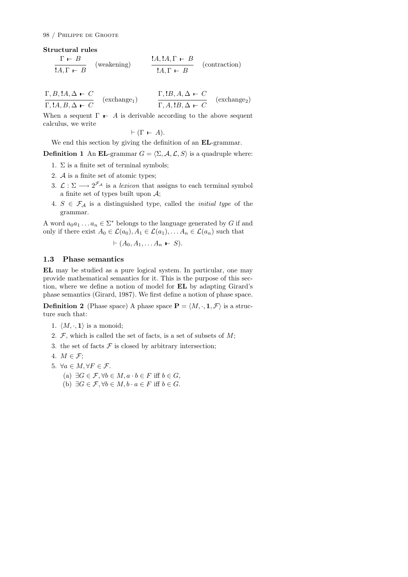Structural rules

$$
\frac{\Gamma \vdash B}{!A, \Gamma \vdash B}
$$
 (weakening) 
$$
\frac{!A, !A, \Gamma \vdash B}{!A, \Gamma \vdash B}
$$
 (contraction)

$$
\frac{\Gamma, B, \mathbf{1}A, \Delta \vdash C}{\Gamma, \mathbf{1}A, B, \Delta \vdash C} \quad (\text{exchange}_1) \qquad \frac{\Gamma, \mathbf{1}B, A, \Delta \vdash C}{\Gamma, A, \mathbf{1}B, \Delta \vdash C} \quad (\text{exchange}_2)
$$

When a sequent  $\Gamma$   $\vdash$  *A* is derivable according to the above sequent calculus, we write

$$
\vdash (\Gamma \vdash A).
$$

We end this section by giving the definition of an **EL**-grammar.

**Definition 1** An EL-grammar  $G = \langle \Sigma, \mathcal{A}, \mathcal{L}, \mathcal{S} \rangle$  is a quadruple where:

- 1.  $\Sigma$  is a finite set of terminal symbols;
- 2. *A* is a finite set of atomic types;
- 3.  $\mathcal{L} : \Sigma \longrightarrow 2^{\mathcal{F}_{\mathcal{A}}}$  is a *lexicon* that assigns to each terminal symbol a finite set of types built upon *A*;
- 4.  $S \in \mathcal{F}_\mathcal{A}$  is a distinguished type, called the *initial type* of the grammar.

A word  $a_0a_1 \ldots a_n \in \Sigma^*$  belongs to the language generated by *G* if and only if there exist  $A_0 \in \mathcal{L}(a_0), A_1 \in \mathcal{L}(a_1), \ldots, A_n \in \mathcal{L}(a_n)$  such that

 $\vdash (A_0, A_1, \ldots, A_n \vdash S).$ 

# 1.3 Phase semantics

EL may be studied as a pure logical system. In particular, one may provide mathematical semantics for it. This is the purpose of this section, where we define a notion of model for EL by adapting Girard's phase semantics (Girard, 1987). We first define a notion of phase space.

**Definition 2** (Phase space) A phase space  $P = \langle M, \cdot, 1, \mathcal{F} \rangle$  is a structure such that:

- 1.  $\langle M, \cdot, 1 \rangle$  is a monoid;
- 2. *F*, which is called the set of facts, is a set of subsets of *M*;
- 3. the set of facts  $\mathcal F$  is closed by arbitrary intersection;
- 4.  $M \in \mathcal{F}$ ;
- 5.  $\forall a \in M, \forall F \in \mathcal{F}$ .
	- (a)  $\exists G \in \mathcal{F}, \forall b \in M, a \cdot b \in F$  iff  $b \in G$ ,
	- (b)  $\exists G \in \mathcal{F}, \forall b \in M, b \cdot a \in F$  iff  $b \in G$ .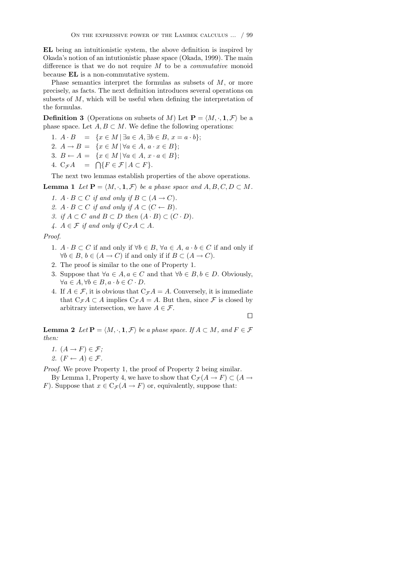EL being an intuitionistic system, the above definition is inspired by Okada's notion of an intutionistic phase space (Okada, 1999). The main difference is that we do not require  $M$  to be a *commutative* monoid because EL is a non-commutative system.

Phase semantics interpret the formulas as subsets of *M*, or more precisely, as facts. The next definition introduces several operations on subsets of *M*, which will be useful when defining the interpretation of the formulas.

**Definition 3** (Operations on subsets of *M*) Let  $P = \langle M, \cdot, 1, \mathcal{F} \rangle$  be a phase space. Let  $A, B \subset M$ . We define the following operations:

- 1.  $A \cdot B = \{x \in M \mid \exists a \in A, \exists b \in B, x = a \cdot b\};$
- 2.  $A \to B = \{x \in M \mid \forall a \in A, a \cdot x \in B\};$
- 3.  $B \leftarrow A = \{x \in M \, | \, \forall a \in A, x \cdot a \in B\};$
- 4.  $C_{\mathcal{F}}A = \bigcap \{ F \in \mathcal{F} \mid A \subset F \}.$

The next two lemmas establish properties of the above operations.

**Lemma 1** Let  $P = \langle M, \cdot, 1, \mathcal{F} \rangle$  be a phase space and  $A, B, C, D \subset M$ .

- *1.*  $A \cdot B \subset C$  *if and only if*  $B \subset (A \rightarrow C)$ *.*
- 2.  $A \cdot B \subset C$  *if and only if*  $A \subset (C \leftarrow B)$ *.*
- *3.* if  $A \subset C$  and  $B \subset D$  then  $(A \cdot B) \subset (C \cdot D)$ .
- $\mathcal{A} \cdot A \in \mathcal{F}$  *if and only if*  $C_{\mathcal{F}} A \subset A$ *.*

*Proof*.

- 1.  $A \cdot B \subset C$  if and only if  $\forall b \in B$ ,  $\forall a \in A$ ,  $a \cdot b \in C$  if and only if  $\forall b \in B, b \in (A \rightarrow C)$  if and only if if  $B \subset (A \rightarrow C)$ .
- 2. The proof is similar to the one of Property 1.
- 3. Suppose that  $\forall a \in A, a \in C$  and that  $\forall b \in B, b \in D$ . Obviously,  $\forall a \in A, \forall b \in B, a \cdot b \in C \cdot D.$
- 4. If  $A \in \mathcal{F}$ , it is obvious that  $C_{\mathcal{F}}A = A$ . Conversely, it is immediate that  $C_{\mathcal{F}}A \subset A$  implies  $C_{\mathcal{F}}A = A$ . But then, since  $\mathcal F$  is closed by arbitrary intersection, we have  $A \in \mathcal{F}$ .

 $\Box$ 

**Lemma 2** Let  $P = \langle M, \cdot, 1, \mathcal{F} \rangle$  be a phase space. If  $A \subset M$ , and  $F \in \mathcal{F}$ *then:*

- *1.*  $(A \rightarrow F) \in \mathcal{F}$ ;
- 2.  $(F \leftarrow A) \in \mathcal{F}$ .

*Proof*. We prove Property 1, the proof of Property 2 being similar.

By Lemma 1, Property 4, we have to show that  $C_{\mathcal{F}}(A \to F) \subset (A \to$ *F*). Suppose that  $x \in C_{\mathcal{F}}(A \to F)$  or, equivalently, suppose that: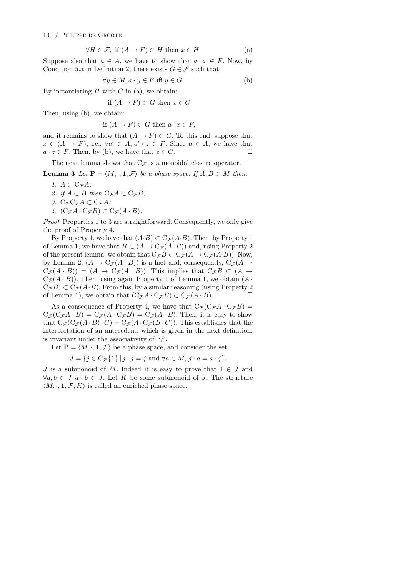100 / Philippe de Groote

$$
\forall H \in \mathcal{F}, \text{ if } (A \to F) \subset H \text{ then } x \in H \tag{a}
$$

Suppose also that  $a \in A$ , we have to show that  $a \cdot x \in F$ . Now, by Condition 5.a in Definition 2, there exists  $G \in \mathcal{F}$  such that:

$$
\forall y \in M, a \cdot y \in F \text{ iff } y \in G \tag{b}
$$

By instantiating *H* with *G* in (a), we obtain:

if 
$$
(A \to F) \subset G
$$
 then  $x \in G$ 

Then, using (b), we obtain:

$$
\hbox{if }(A\to F)\subset G \hbox{ then } a\cdot x\in F,
$$

and it remains to show that  $(A \to F) \subset G$ . To this end, suppose that  $z \in (A \rightarrow F)$ , i.e.,  $\forall a' \in A$ ,  $a' \cdot z \in F$ . Since  $a \in A$ , we have that  $a \cdot z \in F$ . Then, by (b), we have that  $z \in G$ .  $a \cdot z \in F$ . Then, by (b), we have that  $z \in G$ .

The next lemma shows that  $C_{\mathcal{F}}$  is a monoidal closure operator.

**Lemma 3** Let  $P = \langle M, \cdot, 1, \mathcal{F} \rangle$  be a phase space. If  $A, B \subset M$  then:

- $1. A \subset C_{\mathcal{F}} A$ *;*
- 2. if  $A \subset B$  then  $C_{\mathcal{F}}A \subset C_{\mathcal{F}}B$ ;
- *3.*  $C_{\mathcal{F}}C_{\mathcal{F}}A \subset C_{\mathcal{F}}A$ ;
- $\mathcal{A}$ *.*  $(C_{\mathcal{F}}A \cdot C_{\mathcal{F}}B) \subset C_{\mathcal{F}}(A \cdot B)$ *.*

*Proof*. Properties 1 to 3 are straightforward. Consequently, we only give the proof of Property 4.

By Property 1, we have that  $(A \cdot B) \subset C_{\mathcal{F}}(A \cdot B)$ . Then, by Property 1 of Lemma 1, we have that  $B \subset (A \to C_{\mathcal{F}}(A \cdot B))$  and, using Property 2 of the present lemma, we obtain that  $C_{\mathcal{F}}B \subset C_{\mathcal{F}}(A \to C_{\mathcal{F}}(A \cdot B))$ . Now, by Lemma 2,  $(A \to C_{\mathcal{F}}(A \cdot B))$  is a fact and, consequently,  $C_{\mathcal{F}}(A \to$  $C_{\mathcal{F}}(A \cdot B)$  =  $(A \rightarrow C_{\mathcal{F}}(A \cdot B))$ . This implies that  $C_{\mathcal{F}}B \subset (A \rightarrow B)$  $C_{\mathcal{F}}(A \cdot B)$ ). Then, using again Property 1 of Lemma 1, we obtain  $(A \cdot B)$  $C_{\mathcal{F}}B$ )  $\subset C_{\mathcal{F}}(A \cdot B)$ . From this, by a similar reasoning (using Property 2 of Lemma 1), we obtain that  $(C_{\mathcal{F}}A \cdot C_{\mathcal{F}}B) \subset C_{\mathcal{F}}(A \cdot B)$ . of Lemma 1), we obtain that  $(C_{\mathcal{F}}A \cdot C_{\mathcal{F}}B) \subset C_{\mathcal{F}}(A \cdot B)$ .

As a consequence of Property 4, we have that  $C_{\mathcal{F}}(C_{\mathcal{F}}A \cdot C_{\mathcal{F}}B)$  $C_{\mathcal{F}}(C_{\mathcal{F}}A \cdot B) = C_{\mathcal{F}}(A \cdot C_{\mathcal{F}}B) = C_{\mathcal{F}}(A \cdot B)$ . Then, it is easy to show that  $C_{\mathcal{F}}(C_{\mathcal{F}}(A \cdot B) \cdot C) = C_{\mathcal{F}}(A \cdot C_{\mathcal{F}}(B \cdot C))$ . This establishes that the interpretation of an antecedent, which is given in the next definition, is invariant under the associativity of ",".

Let  $P = \langle M, \cdot, 1, \mathcal{F} \rangle$  be a phase space, and consider the set

$$
J = \{ j \in \mathcal{C}_{\mathcal{F}}\{\mathbf{1}\} \mid j \cdot j = j \text{ and } \forall a \in M, j \cdot a = a \cdot j \}.
$$

*J* is a submonoid of *M*. Indeed it is easy to prove that  $1 \in J$  and  $\forall a, b \in J, a \cdot b \in J$ . Let K be some submonoid of J. The structure  $\langle M, \cdot, \mathbf{1}, \mathcal{F}, K \rangle$  is called an enriched phase space.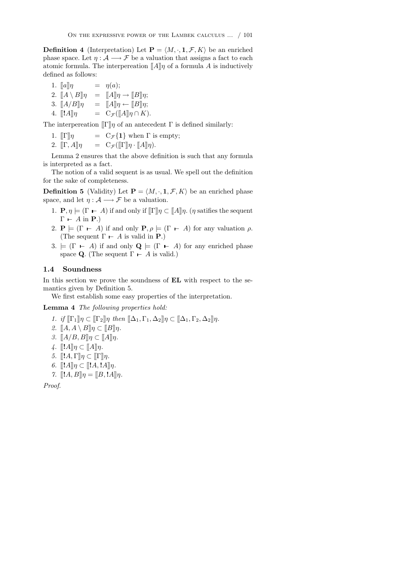**Definition 4** (Interpretation) Let  $P = \langle M, \cdot, 1, \mathcal{F}, K \rangle$  be an enriched phase space. Let  $\eta : A \longrightarrow \mathcal{F}$  be a valuation that assigns a fact to each atomic formula. The interpereation  $\llbracket A \rrbracket \eta$  of a formula *A* is inductively defined as follows:

1.  $[[a]]\eta = \eta(a);$ 2.  $\llbracket A \setminus B \rrbracket \eta = \llbracket A \rrbracket \eta \to \llbracket B \rrbracket \eta;$ <br>3.  $\llbracket A/B \rrbracket \eta = \llbracket A \rrbracket \eta \leftarrow \llbracket B \rrbracket \eta;$ 3.  $\llbracket A/B \rrbracket \eta = \llbracket A \rrbracket \eta \leftarrow \llbracket B \rrbracket \eta;$ <br>4.  $\llbracket !A \rrbracket \eta = C_{\mathcal{F}}(\llbracket A \rrbracket \eta \cap K)$  $= C_{\mathcal{F}}(\llbracket A \rrbracket \eta \cap K).$ 

The interpereation  $\mathbb{I}\Gamma\mathbb{I}\eta$  of an antecedent  $\Gamma$  is defined similarly:

1.  $[\![\Gamma]\!] \eta$  =  $C_{\mathcal{F}}\{\mathbf{1}\}$  when  $\Gamma$  is empty;<br>2.  $[\![\Gamma, A]\!] \eta$  =  $C_{\mathcal{F}}([\![\Gamma]\!] \eta \cdot [\![A]\!] \eta)$ .

 $= C_{\mathcal{F}}(\llbracket \Gamma \rrbracket \eta \cdot \llbracket A \rrbracket \eta).$ 

Lemma 2 ensures that the above definition is such that any formula is interpreted as a fact.

The notion of a valid sequent is as usual. We spell out the definition for the sake of completeness.

**Definition 5** (Validity) Let  $P = \langle M, \cdot, 1, \mathcal{F}, K \rangle$  be an enriched phase space, and let  $\eta : A \longrightarrow \mathcal{F}$  be a valuation.

- 1.  $P, \eta \models (\Gamma \vdash A)$  if and only if  $[\![\Gamma]\!] \eta \subset [\![A]\!] \eta$ . ( $\eta$  satifies the sequent  $\Gamma$  – *A* in **P**.)
- 2.  $P \models (\Gamma \vdash A)$  if and only  $P, \rho \models (\Gamma \vdash A)$  for any valuation  $\rho$ . (The sequent  $\Gamma$  *- A* is valid in **P**.)
- 3.  $\models$  ( $\Gamma \vdash A$ ) if and only  $\mathbf{Q} \models (\Gamma \vdash A)$  for any enriched phase space **Q**. (The sequent  $\Gamma \vdash A$  is valid.)

## 1.4 Soundness

In this section we prove the soundness of EL with respect to the semantics given by Definition 5.

We first establish some easy properties of the interpretation.

## Lemma 4 *The following properties hold:*

*1.* if  $\[\Gamma_1\]\eta \subset \[\Gamma_2\]\eta$  then  $\[\Delta_1, \Gamma_1, \Delta_2\]\eta \subset \[\Delta_1, \Gamma_2, \Delta_2\]\eta$ .  $2. \ \llbracket A, A \setminus B \rrbracket \eta \subset \llbracket B \rrbracket \eta.$  $3. \quad [A/B, B]$  $\eta \subset [A]$  $\eta$ .  $\downarrow$ .  $\llbracket !A \rrbracket \eta \subset \llbracket A \rrbracket \eta$ . *5.*  $[[!A, \Gamma]]\eta \subset [[\Gamma]\eta]$ . *6.*  $[[!A]]\eta \subset [[!A, !A]]\eta$ . *7.*  $[[!A, B]]\eta = [[B, !A]]\eta$ . *Proof*.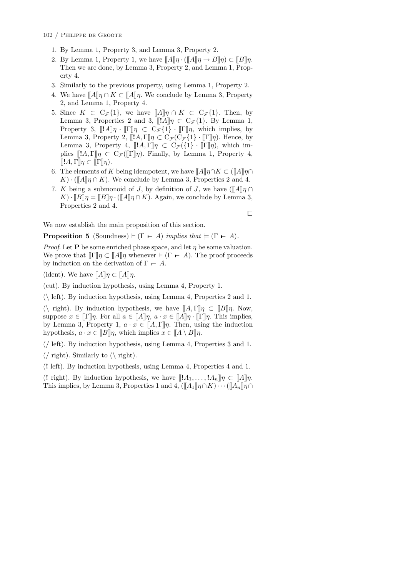- 1. By Lemma 1, Property 3, and Lemma 3, Property 2.
- 2. By Lemma 1, Property 1, we have  $[[A]]\eta \cdot ([[A]]\eta \rightarrow B] \eta$   $\subset [[B]]\eta$ . Then we are done, by Lemma 3, Property 2, and Lemma 1, Property 4.
- 3. Similarly to the previous property, using Lemma 1, Property 2.
- 4. We have  $\llbracket A \rrbracket \eta \cap K \subset \llbracket A \rrbracket \eta$ . We conclude by Lemma 3, Property 2, and Lemma 1, Property 4.
- 5. Since  $K \subset C_{\mathcal{F}}\{1\}$ , we have  $\llbracket A \rrbracket \eta \cap K \subset C_{\mathcal{F}}\{1\}$ . Then, by Lemma 3, Properties 2 and 3,  $\llbracket A \rrbracket \eta \subset C_{\mathcal{F}}\{1\}$ . By Lemma 1, Property 3,  $[[!A]]\eta \cdot [[\Gamma]]\eta \subset C_{\mathcal{F}}\{1\} \cdot [[\Gamma]]\eta$ , which implies, by Lemma 3, Property 2,  $[[!A,\Gamma]]\eta \subset C_{\mathcal{F}}(C_{\mathcal{F}}\{1\} \cdot [[\Gamma]]\eta)$ . Hence, by Lemma 3, Property 4,  $[[!A,\overline{\Gamma}]\eta \subset C_{\mathcal{F}}({1}) \cdot [[\overline{\Gamma}]\eta)$ , which implies  $[[!A,\Gamma]\]_\eta \subset C_{\mathcal{F}}([\![\Gamma]\!]_\eta)$ . Finally, by Lemma 1, Property 4,  $[[!A,\Gamma]\eta\subset [[\Gamma]\eta)].$
- 6. The elements of *K* being idempotent, we have  $[[A]]\eta \cap K \subset (\llbracket A \rrbracket \eta \cap K)$  $K) \cdot (\llbracket A \rrbracket \eta \cap K)$ . We conclude by Lemma 3, Properties 2 and 4.
- 7. *K* being a submonoid of *J*, by definition of *J*, we have  $(\llbracket A \rrbracket \eta \cap$  $K)$  ·  $[[B]$  $\eta = [[B]]$  $\eta$  ·  $([A]$  $\eta \cap K)$ . Again, we conclude by Lemma 3, Properties 2 and 4.

 $\Box$ 

We now establish the main proposition of this section.

**Proposition 5** (Soundness)  $\vdash (\Gamma \vdash A)$  *implies that*  $\models (\Gamma \vdash A)$ *.* 

*Proof.* Let **P** be some enriched phase space, and let  $\eta$  be some valuation. We prove that  $\llbracket \Gamma \rrbracket \eta \subset \llbracket A \rrbracket \eta$  whenever  $\vdash (\Gamma \vdash A)$ . The proof proceeds by induction on the derivation of  $\Gamma \vdash A$ .

(ident). We have  $\llbracket A \rrbracket \eta \subset \llbracket A \rrbracket \eta$ .

(cut). By induction hypothesis, using Lemma 4, Property 1.

(*\* left). By induction hypothesis, using Lemma 4, Properties 2 and 1.

 $(\nabla \text{ right})$ . By induction hypothesis, we have  $[[A,\Gamma]]\eta \subset [[B]]\eta$ . Now, suppose  $x \in [\![\Gamma]\!] \eta$ . For all  $a \in [\![A]\!] \eta$ ,  $a \cdot x \in [\![A]\!] \eta \cdot [\![\Gamma]\!] \eta$ . This implies, by Lemma 3, Property 1,  $a \cdot x \in [A,\Gamma]\eta$ . Then, using the induction hypothesis,  $a \cdot x \in [B]$ , which implies  $x \in [A \setminus B]$ .

(*/* left). By induction hypothesis, using Lemma 4, Properties 3 and 1.

(*/* right). Similarly to (*\* right).

(! left). By induction hypothesis, using Lemma 4, Properties 4 and 1.

(! right). By induction hypothesis, we have  $[[!A_1, \ldots, !A_n]]\eta \subset [[A]]\eta$ . This implies, by Lemma 3, Properties 1 and 4,  $(\llbracket A_1 \rrbracket \eta \cap K) \cdots (\llbracket A_n \rrbracket \eta \cap K)$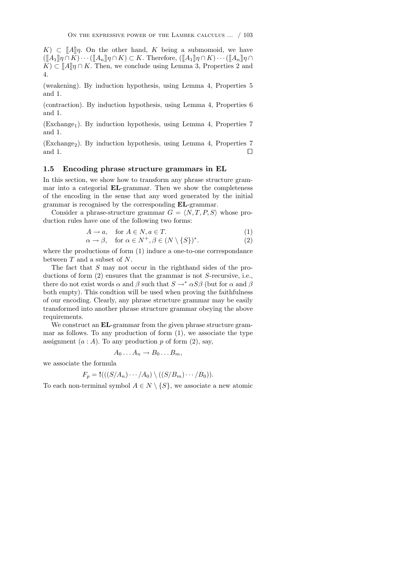$K \subset \llbracket A \rrbracket n$ . On the other hand, *K* being a submomoid, we have  $(\llbracket A_1 \rrbracket \eta \cap K) \cdots (\llbracket A_n \rrbracket \eta \cap K) \subset K$ . Therefore,  $(\llbracket A_1 \rrbracket \eta \cap K) \cdots (\llbracket A_n \rrbracket \eta \cap K)$  $K \subset \llbracket A \rrbracket \eta \cap K$ . Then, we conclude using Lemma 3, Properties 2 and 4.

(weakening). By induction hypothesis, using Lemma 4, Properties 5 and 1.

(contraction). By induction hypothesis, using Lemma 4, Properties 6 and 1.

 $(Exchange<sub>1</sub>)$ . By induction hypothesis, using Lemma 4, Properties 7 and 1.

 $(Exchange<sub>2</sub>)$ . By induction hypothesis, using Lemma 4, Properties 7 and 1.  $\Box$ 

#### 1.5 Encoding phrase structure grammars in EL

In this section, we show how to transform any phrase structure grammar into a categorial EL-grammar. Then we show the completeness of the encoding in the sense that any word generated by the initial grammar is recognised by the corresponding EL-grammar.

Consider a phrase-structure grammar  $G = \langle N, T, P, S \rangle$  whose production rules have one of the following two forms:

$$
A \to a, \quad \text{for } A \in N, a \in T.
$$
  
\n
$$
\alpha \to \beta, \quad \text{for } \alpha \in N^+, \beta \in (N \setminus \{S\})^*.
$$
\n(1)

where the productions of form (1) induce a one-to-one correspondance between *T* and a subset of *N*.

The fact that *S* may not occur in the righthand sides of the productions of form (2) ensures that the grammar is not *S*-recursive, i.e., there do not exist words  $\alpha$  and  $\beta$  such that  $S \to^* \alpha S \beta$  (but for  $\alpha$  and  $\beta$ both empty). This condtion will be used when proving the faithfulness of our encoding. Clearly, any phrase structure grammar may be easily transformed into another phrase structure grammar obeying the above requirements.

We construct an **EL**-grammar from the given phrase structure grammar as follows. To any production of form  $(1)$ , we associate the type assignment  $(a : A)$ . To any production  $p$  of form  $(2)$ , say,

$$
A_0 \ldots A_n \to B_0 \ldots B_m,
$$

we associate the formula

$$
F_p = \mathbf{!}((S/A_n) \cdots / A_0) \setminus ((S/B_m) \cdots / B_0)).
$$

To each non-terminal symbol  $A \in N \setminus \{S\}$ , we associate a new atomic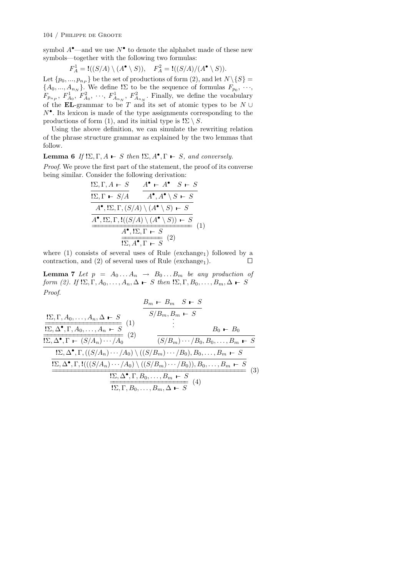symbol  $A^{\bullet}$ —and we use  $N^{\bullet}$  to denote the alphabet made of these new symbols—together with the following two formulas:

$$
F_A^1 = \mathcal{H}((S/A) \setminus (A^{\bullet} \setminus S)), \quad F_A^2 = \mathcal{H}((S/A)/(A^{\bullet} \setminus S)).
$$

Let  $\{p_0, ..., p_{n_P}\}$  be the set of productions of form (2), and let  $N \setminus \{S\}$  =  $\{A_0, ..., A_{n_N}\}$ . We define  $!\Sigma$  to be the sequence of formulas  $F_{p_0}, \dots,$  $F_{p_{n_p}}$ ,  $F_{A_0}^1$ ,  $F_{A_0}^2$ ,  $\cdots$ ,  $F_{A_{n_N}}^1$ ,  $F_{A_{n_N}}^2$ . Finally, we define the vocabulary of the **EL**-grammar to be  $T$  and its set of atomic types to be  $N \cup$ *N•*. Its lexicon is made of the type assignments corresponding to the productions of form (1), and its initial type is  $! \Sigma \setminus S$ .

Using the above definition, we can simulate the rewriting relation of the phrase structure grammar as explained by the two lemmas that follow.

**Lemma 6** If  $! \Sigma, \Gamma, A \vdash S$  then  $! \Sigma, A^{\bullet}, \Gamma \vdash S$ , and conversely.

*Proof*. We prove the first part of the statement, the proof of its converse being similar. Consider the following derivation:

$$
\frac{\sum_{\Gamma} \Gamma, A \vdash S \qquad A^{\bullet} \vdash A^{\bullet} \quad S \vdash S}{\sum_{\Gamma} \Gamma \vdash S/A \qquad A^{\bullet}, A^{\bullet} \setminus S \vdash S}
$$
\n
$$
\frac{A^{\bullet}, \Sigma, \Gamma, (S/A) \setminus (A^{\bullet} \setminus S) \vdash S}{\frac{A^{\bullet}, \Sigma, \Gamma, !((S/A) \setminus (A^{\bullet} \setminus S)) \vdash S}{\prod_{\Gamma} \Sigma, \Gamma \vdash S}} (1)
$$

where  $(1)$  consists of several uses of Rule (exchange<sub>1</sub>) followed by a contraction, and (2) of several uses of Rule (exchange<sub>1</sub>).  $\square$ 

**Lemma 7** Let  $p = A_0 \dots A_n \rightarrow B_0 \dots B_m$  be any production of *form (2). If*  $! \Sigma, \Gamma, A_0, \ldots, A_n, \Delta \vdash S$  *then*  $! \Sigma, \Gamma, B_0, \ldots, B_m, \Delta \vdash S$ *Proof*.

$$
\frac{B_m \leftarrow B_m \quad S \leftarrow S}{S/B_m, B_m \leftarrow S}
$$
\n
$$
\frac{\frac{1}{12} \sum_{i} \Delta^{\bullet}, \Gamma, A_0, \dots, A_n \leftarrow S}{\frac{12} \sum_{i} \Delta^{\bullet}, \Gamma, A_0, \dots, A_n \leftarrow S} \quad (1)
$$
\n
$$
\frac{\frac{1}{12} \sum_{i} \Delta^{\bullet}, \Gamma \leftarrow (S/A_n) \cdots / A_0 \quad (2)}{(S/B_m) \cdots / B_0, B_0, \dots, B_m \leftarrow S}
$$
\n
$$
\frac{\frac{1}{12} \sum_{i} \Delta^{\bullet}, \Gamma, ((S/A_n) \cdots / A_0) \setminus ((S/B_m) \cdots / B_0), B_0, \dots, B_m \leftarrow S}{\frac{12} \sum_{i} \Delta^{\bullet}, \Gamma, \Gamma, \Gamma(((S/A_n) \cdots / A_0) \setminus ((S/B_m) \cdots / B_0)), B_0, \dots, B_m \leftarrow S}{\frac{12} \sum_{i} \Delta^{\bullet}, \Gamma, B_0, \dots, B_m \leftarrow S} \quad (3)
$$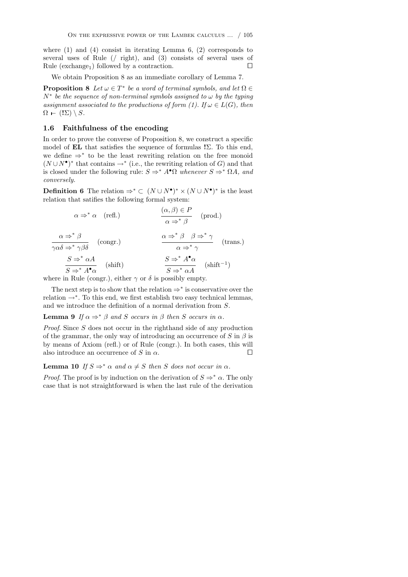where (1) and (4) consist in iterating Lemma 6, (2) corresponds to several uses of Rule (*/* right), and (3) consists of several uses of Rule (exchange<sub>1</sub>) followed by a contraction.  $\square$ 

We obtain Proposition 8 as an immediate corollary of Lemma 7.

**Proposition 8** Let  $\omega \in T^*$  be a word of terminal symbols, and let  $\Omega \in$  $N^*$  *be the sequence of non-terminal symbols assigned to*  $\omega$  *by the typing assignment associated to the productions of form (1). If*  $\omega \in L(G)$ *, then*  $\Omega$  –  $(!\Sigma) \setminus S$ *.* 

## 1.6 Faithfulness of the encoding

In order to prove the converse of Proposition 8, we construct a specific model of  $EL$  that satisfies the sequence of formulas  $! \Sigma$ . To this end, we define  $\Rightarrow^*$  to be the least rewriting relation on the free monoid  $(N \cup N^{\bullet})^*$  that contains  $\rightarrow^*$  (i.e., the rewriting relation of *G*) and that is closed under the following rule:  $S \Rightarrow^* A^{\bullet} \Omega$  whenever  $S \Rightarrow^* \Omega A$ , and *conversely.*

**Definition 6** The relation  $\Rightarrow^* \subset (N \cup N^{\bullet})^* \times (N \cup N^{\bullet})^*$  is the least relation that satifies the following formal system:

$$
\alpha \Rightarrow^* \alpha \quad (\text{refl.})
$$
\n
$$
\alpha \Rightarrow^* \beta \quad (\text{prod.})
$$
\n
$$
\alpha \Rightarrow^* \beta \quad (\text{prod.})
$$
\n
$$
\alpha \Rightarrow^* \beta \quad (\text{long.})
$$
\n
$$
\alpha \Rightarrow^* \beta \quad (\text{long.})
$$
\n
$$
\alpha \Rightarrow^* \beta \quad \beta \Rightarrow^* \gamma \quad (\text{trans.})
$$
\n
$$
\alpha \Rightarrow^* \beta \quad \beta \Rightarrow^* \gamma \quad (\text{trans.})
$$
\n
$$
\alpha \Rightarrow^* \beta \quad (\text{shift})
$$
\n
$$
S \Rightarrow^* \alpha A \quad (\text{shift})
$$
\n
$$
S \Rightarrow^* \alpha A \quad (\text{shift}^{-1})
$$

where in Rule (congr.), either  $\gamma$  or  $\delta$  is possibly empty.

The next step is to show that the relation  $\Rightarrow^*$  is conservative over the relation  $\rightarrow^*$ . To this end, we first establish two easy technical lemmas, and we introduce the definition of a normal derivation from *S*.

### **Lemma 9** If  $\alpha \Rightarrow^* \beta$  and *S* occurs in  $\beta$  then *S* occurs in  $\alpha$ .

*Proof*. Since *S* does not occur in the righthand side of any production of the grammar, the only way of introducing an occurrence of  $S$  in  $\beta$  is by means of Axiom (refl.) or of Rule (congr.). In both cases, this will also introduce an occurrence of  $S$  in  $\alpha$ .

# **Lemma 10** *If*  $S \Rightarrow^* \alpha$  *and*  $\alpha \neq S$  *then S does not occur in*  $\alpha$ *.*

*Proof.* The proof is by induction on the derivation of  $S \Rightarrow^* \alpha$ . The only case that is not straightforward is when the last rule of the derivation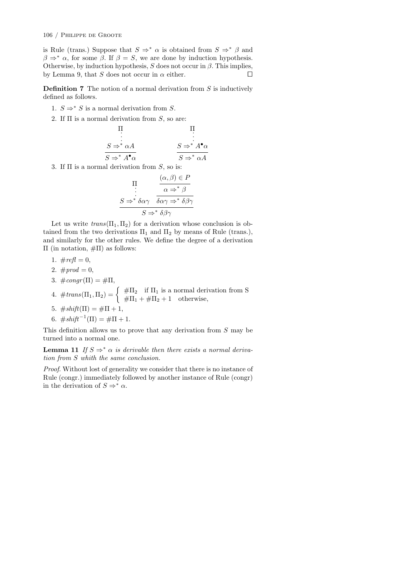is Rule (trans.) Suppose that  $S \Rightarrow^* \alpha$  is obtained from  $S \Rightarrow^* \beta$  and  $\beta \Rightarrow^* \alpha$ , for some  $\beta$ . If  $\beta = S$ , we are done by induction hypothesis. Otherwise, by induction hypothesis,  $S$  does not occur in  $\beta$ . This implies, by Lemma 9, that *S* does not occur in  $\alpha$  either.  $\square$ 

Definition 7 The notion of a normal derivation from *S* is inductively defined as follows.

- 1.  $S \Rightarrow^* S$  is a normal derivation from *S*.
- 2. If  $\Pi$  is a normal derivation from *S*, so are:

$$
\Pi \qquad \Pi
$$
\n
$$
S \Rightarrow^* \alpha A
$$
\n
$$
S \Rightarrow^* A^{\bullet} \alpha
$$
\n
$$
S \Rightarrow^* A^{\bullet} \alpha
$$
\n
$$
S \Rightarrow^* A^{\bullet} \alpha
$$

3. If  $\Pi$  is a normal derivation from  $S$ , so is:

$$
\Pi \atop S \to^* \delta \alpha \gamma \quad \frac{(\alpha, \beta) \in P}{\delta \alpha \gamma \to^* \delta \beta \gamma}
$$

$$
S \to^* \delta \alpha \gamma \quad \frac{(\alpha, \beta) \in P}{S \to^* \delta \beta \gamma}
$$

Let us write  $trans(\Pi_1, \Pi_2)$  for a derivation whose conclusion is obtained from the two derivations  $\Pi_1$  and  $\Pi_2$  by means of Rule (trans.), and similarly for the other rules. We define the degree of a derivation  $\Pi$  (in notation,  $\#\Pi$ ) as follows:

- 1.  $\#refl = 0$ ,
- 2.  $#prod = 0$ ,
- 3.  $\#congr(\Pi) = \#\Pi,$
- 4.  $\#trans(\Pi_1, \Pi_2) = \begin{cases} \# \Pi_2 & \text{if } \Pi_1 \text{ is a normal derivation from S} \\ \# \Pi_1 + \# \Pi_2 + 1 & \text{otherwise,} \end{cases}$
- 5.  $\#shift(\Pi) = \#\Pi + 1,$
- 6.  $\#shift^{-1}(\Pi) = \#\Pi + 1$ .

This definition allows us to prove that any derivation from *S* may be turned into a normal one.

**Lemma 11** If  $S \Rightarrow^* \alpha$  is derivable then there exists a normal deriva*tion from S whith the same conclusion.*

*Proof*. Without lost of generality we consider that there is no instance of Rule (congr.) immediately followed by another instance of Rule (congr) in the derivation of  $S \Rightarrow^* \alpha$ .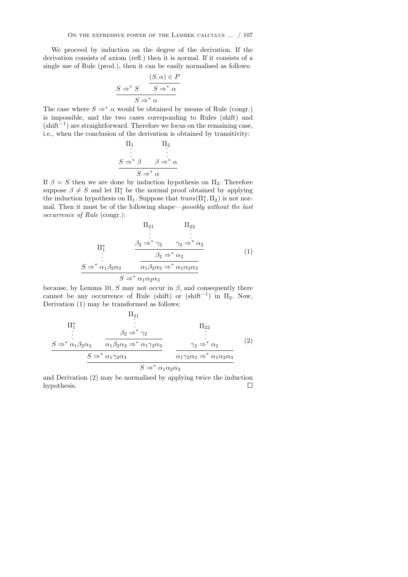We proceed by induction on the degree of the derivation. If the derivation consists of axiom (refl.) then it is normal. If it consists of a single use of Rule (prod.), then it can be easily normalised as follows:

$$
S \Rightarrow^* S \qquad S \Rightarrow^* \alpha
$$
  

$$
S \Rightarrow^* \alpha
$$
  

$$
S \Rightarrow^* \alpha
$$

The case where  $S \Rightarrow^* \alpha$  would be obtained by means of Rule (congr.) is impossible, and the two cases correponding to Rules (shift) and  $(\text{shift}^{-1})$  are straightforward. Therefore we focus on the remaining case, i.e., when the conclusion of the derivation is obtained by transitivity:

$$
\Pi_1 \qquad \Pi_2
$$
\n
$$
\vdots \qquad \vdots
$$
\n
$$
S \Rightarrow^* \beta \qquad \beta \Rightarrow^* \alpha
$$
\n
$$
S \Rightarrow^* \alpha
$$

If  $\beta = S$  then we are done by induction hypothesis on  $\Pi_2$ . Therefore suppose  $\beta \neq S$  and let  $\Pi_1^*$  be the normal proof obtained by applying the induction hypothesis on  $\Pi_1$ . Suppose that  $trans(\Pi_1^*, \Pi_2)$  is not normal. Then it must be of the following shape—*possibly without the last occurrence of Rule* (congr.):

$$
\Pi_{21} \qquad \Pi_{22}
$$
\n
$$
\vdots \qquad \vdots
$$
\n
$$
\Pi_{1}^{*} \qquad \frac{\beta_{2} \Rightarrow^{*} \gamma_{2} \qquad \gamma_{2} \Rightarrow^{*} \alpha_{2}}{\beta_{2} \Rightarrow^{*} \alpha_{2}}
$$
\n
$$
\vdots \qquad \frac{\beta_{2} \Rightarrow^{*} \alpha_{2}}{\alpha_{1} \beta_{2} \alpha_{3} \Rightarrow^{*} \alpha_{1} \alpha_{2} \alpha_{3}}
$$
\n
$$
S \Rightarrow^{*} \alpha_{1} \alpha_{2} \alpha_{3}
$$
\n
$$
(1)
$$

because, by Lemma 10,  $S$  may not occur in  $\beta$ , and consequently there cannot be any occurrence of Rule (shift) or (shift<sup>-1</sup>) in  $\Pi_2$ . Now, Derivation (1) may be transformed as follows:

$$
\Pi_{21}
$$
\n
$$
\Pi_{1}
$$
\n
$$
\vdots
$$
\n
$$
S \Rightarrow^* \alpha_1 \beta_2 \alpha_3
$$
\n
$$
\alpha_1 \beta_2 \alpha_3 \Rightarrow^* \alpha_1 \gamma_2 \alpha_3
$$
\n
$$
\Pi_{22}
$$
\n
$$
\alpha_1 \beta_2 \alpha_3 \Rightarrow^* \alpha_1 \gamma_2 \alpha_3
$$
\n
$$
\Pi_{22}
$$
\n
$$
\vdots
$$
\n
$$
\Pi_{22}
$$
\n
$$
\vdots
$$
\n
$$
\Pi_{22}
$$
\n
$$
\vdots
$$
\n
$$
\Pi_{22}
$$
\n
$$
\vdots
$$
\n
$$
\Pi_{22}
$$
\n
$$
\vdots
$$
\n
$$
\Pi_{22}
$$
\n
$$
\vdots
$$
\n
$$
\Pi_{22}
$$
\n
$$
\vdots
$$
\n
$$
\Pi_{22}
$$
\n
$$
\vdots
$$
\n
$$
\Pi_{22}
$$
\n
$$
\vdots
$$
\n
$$
\Pi_{22}
$$
\n
$$
\vdots
$$
\n
$$
\Pi_{22}
$$
\n
$$
\vdots
$$
\n
$$
\Pi_{22}
$$
\n
$$
\vdots
$$
\n
$$
\Pi_{22}
$$
\n
$$
\vdots
$$
\n
$$
\Pi_{22}
$$
\n
$$
\vdots
$$
\n
$$
\Pi_{22}
$$
\n
$$
\vdots
$$
\n
$$
\Pi_{22}
$$
\n
$$
\vdots
$$
\n
$$
\Pi_{22}
$$
\n
$$
\vdots
$$
\n
$$
\Pi_{22}
$$
\n
$$
\vdots
$$
\n
$$
\Pi_{22}
$$
\n
$$
\vdots
$$
\n
$$
\Pi_{22}
$$
\n
$$
\vdots
$$
\n
$$
\Pi_{22}
$$
\n
$$
\vdots
$$
\n
$$
\Pi_{22}
$$
\n
$$
\vdots
$$
\n
$$
\vdots
$$
\n
$$
\vdots
$$
\n
$$
\vdots
$$
\n $$ 

and Derivation (2) may be normalised by applying twice the induction hypothesis.  $\Box$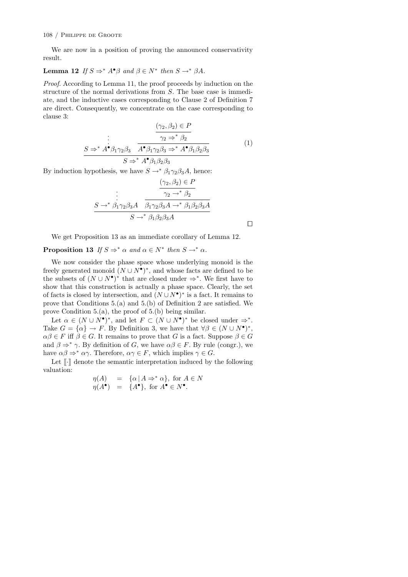#### 108 / Philippe de Groote

We are now in a position of proving the announced conservativity result.

# **Lemma 12** *If*  $S \Rightarrow^* A^{\bullet} \beta$  *and*  $\beta \in N^*$  *then*  $S \rightarrow^* \beta A$ *.*

*Proof.* According to Lemma 11, the proof proceeds by induction on the structure of the normal derivations from *S*. The base case is immediate, and the inductive cases corresponding to Clause 2 of Definition 7 are direct. Consequently, we concentrate on the case corresponding to clause 3:

$$
\frac{(\gamma_2, \beta_2) \in P}{\gamma_2 \Rightarrow^* \beta_2}
$$
\n
$$
S \Rightarrow^* A^{\bullet} \beta_1 \gamma_2 \beta_3 \quad A^{\bullet} \beta_1 \gamma_2 \beta_3 \Rightarrow^* A^{\bullet} \beta_1 \beta_2 \beta_3
$$
\n
$$
S \Rightarrow^* A^{\bullet} \beta_1 \beta_2 \beta_3
$$
\n(1)

By induction hypothesis, we have  $S \rightarrow^* \beta_1 \gamma_2 \beta_3 A$ , hence:

$$
\frac{(\gamma_2, \beta_2) \in P}{\gamma_2 \to^* \beta_2}
$$
  

$$
\frac{S \to^* \beta_1 \gamma_2 \beta_3 A}{\beta_1 \gamma_2 \beta_3 A \to^* \beta_1 \beta_2 \beta_3 A}
$$
  

$$
S \to^* \beta_1 \beta_2 \beta_3 A
$$

We get Proposition 13 as an immediate corollary of Lemma 12.

**Proposition 13** *If*  $S \Rightarrow^* \alpha$  *and*  $\alpha \in N^*$  *then*  $S \rightarrow^* \alpha$ *.* 

We now consider the phase space whose underlying monoid is the freely generated monoid  $(N \cup N^{\bullet})^*$ , and whose facts are defined to be the subsets of  $(N \cup N^{\bullet})^*$  that are closed under  $\Rightarrow^*$ . We first have to show that this construction is actually a phase space. Clearly, the set of facts is closed by intersection, and  $(N \cup N^{\bullet})^*$  is a fact. It remains to prove that Conditions 5.(a) and 5.(b) of Definition 2 are satisfied. We prove Condition 5.(a), the proof of 5.(b) being similar.

Let  $\alpha \in (N \cup N^{\bullet})^*$ , and let  $F \subset (N \cup N^{\bullet})^*$  be closed under  $\Rightarrow^*$ . Take  $G = {\alpha} \rightarrow F$ . By Definition 3, we have that  $\forall \beta \in (N \cup N^{\bullet})^*$ ,  $\alpha\beta \in F$  iff  $\beta \in G$ . It remains to prove that G is a fact. Suppose  $\beta \in G$ and  $\beta \Rightarrow^* \gamma$ . By definition of *G*, we have  $\alpha\beta \in F$ . By rule (congr.), we have  $\alpha\beta \Rightarrow^* \alpha\gamma$ . Therefore,  $\alpha\gamma \in F$ , which implies  $\gamma \in G$ .

Let [[*·*]] denote the semantic interpretation induced by the following valuation:

$$
\eta(A) = \{ \alpha \mid A \Rightarrow^* \alpha \}, \text{ for } A \in N
$$
  

$$
\eta(A^{\bullet}) = \{ A^{\bullet} \}, \text{ for } A^{\bullet} \in N^{\bullet}.
$$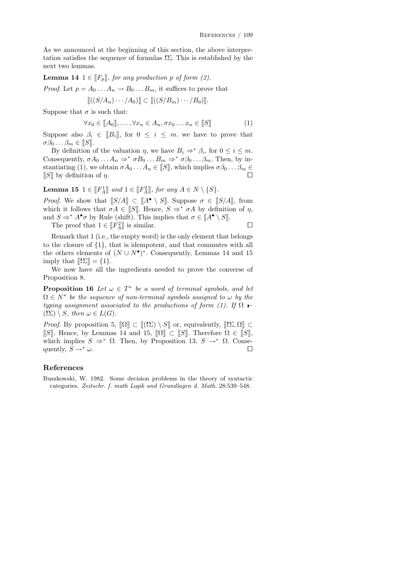As we announced at the beginning of this section, the above interpretation satisfies the sequence of formulas  $\Sigma$ . This is established by the next two lemmas.

**Lemma 14** 1  $\in$   $\llbracket F_p \rrbracket$ *, for any production p of form (2).* 

*Proof.* Let  $p = A_0 \dots A_n \rightarrow B_0 \dots B_m$ , it suffices to prove that

$$
[[(S/A_n)\cdots/A_0)] \subset [[(S/B_m)\cdots/B_0)]].
$$

Suppose that  $\sigma$  is such that:

$$
\forall x_0 \in [\![A_0]\!], \ldots, \forall x_n \in A_n, \sigma x_0 \ldots x_n \in [\![S]\!]
$$
 (1)

Suppose also  $\beta_i \in [B_i]$ , for  $0 \leq i \leq m$ . we have to prove that  $\sigma\beta_0 \ldots \beta_m \in [\![S]\!]$ .

By definition of the valuation  $\eta$ , we have  $B_i \Rightarrow^* \beta_i$ , for  $0 \leq i \leq m$ . Consequently,  $\sigma A_0 \ldots A_n \Rightarrow^* \sigma B_0 \ldots B_m \Rightarrow^* \sigma \beta_0 \ldots \beta_m$ . Then, by instantiating (1), we obtain  $\sigma A_0 \dots A_n \in [S]$ , which implies  $\sigma \beta_0 \dots \beta_m \in$  $[[S]]$  by definition of  $\eta$ .

Lemma 15  $1 \in [F_A^1]$  and  $1 \in [F_A^2]$ , for any  $A \in N \setminus \{S\}$ .

*Proof.* We show that  $[[S/A]] \subset [[A^{\bullet} \setminus S]]$ . Suppose  $\sigma \in [[S/A]]$ , from which it follows that  $\sigma A \in [S]$ . Hence,  $S \Rightarrow^* \sigma A$  by definition of  $\eta$ , and  $S \Rightarrow^* A^{\bullet} \sigma$  by Rule (shift). This implies that  $\sigma \in [A^{\bullet} \setminus S]$ .

The proof that  $1 \in [F_A^2]$  is similar.  $\square$ 

Remark that 1 (i.e., the empty word) is the only element that belongs to the closure of *{*1*}*, that is idempotent, and that commutes with all the others elements of  $(N \cup N^{\bullet})^*$ . Consequently, Lemmas 14 and 15 imply that  $[[!\Sigma]] = \{1\}.$ 

We now have all the ingredients needed to prove the converse of Proposition 8.

**Proposition 16** Let  $\omega \in T^*$  be a word of terminal symbols, and let  $\Omega \in N^*$  be the sequence of non-terminal symbols assigned to  $\omega$  by the *typing assignment associated to the productions of form (1).* If  $\Omega$   $\vdash$  $(\sum) \setminus S$ *, then*  $\omega \in L(G)$ *.* 

*Proof.* By proposition 5,  $\Omega \subset [[(\mathbf{I}\Sigma) \setminus S]]$  or, equivalently,  $[[\mathbf{I}\Sigma,\Omega]] \subset$ [[S]]. Hence, by Lemmas 14 and 15,  $\lbrack \lbrack \Omega \rbrack \rbrack \subset \lbrack \lbrack S \rbrack \rbrack$ . Therefore  $\Omega \in \lbrack \lbrack S \rbrack \rbrack$ , which implies  $S \Rightarrow^* \Omega$ . Then, by Proposition 13,  $S \rightarrow^* \Omega$ . Consequently,  $S \rightarrow^* \omega$ . quently,  $S \rightarrow^* \omega$ .

#### References

Buszkowski, W. 1982. Some decision problems in the theory of syntactic categories. *Zeitschr. f. math Logik und Grundlagen d. Math.* 28:539–548.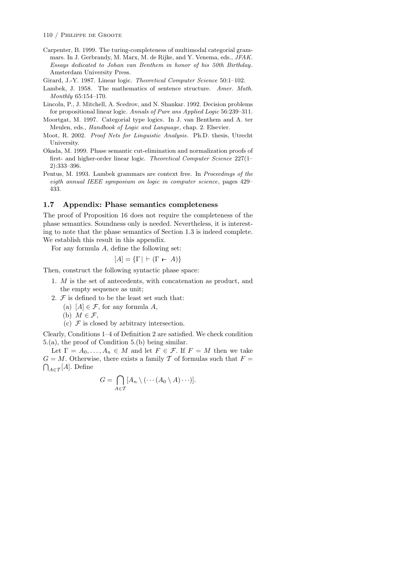Carpenter, B. 1999. The turing-completeness of multimodal categorial grammars. In J. Gerbrandy, M. Marx, M. de Rijke, and Y. Venema, eds., *JFAK. Essays dedicated to Johan van Benthem in honor of his 50th Birthday*. Amsterdam University Press.

Girard, J.-Y. 1987. Linear logic. *Theoretical Computer Science* 50:1–102.

Lambek, J. 1958. The mathematics of sentence structure. *Amer. Math. Monthly* 65:154–170.

- Lincoln, P., J. Mitchell, A. Scedrov, and N. Shankar. 1992. Decision problems for propositional linear logic. *Annals of Pure ans Applied Logic* 56:239–311.
- Moortgat, M. 1997. Categorial type logics. In J. van Benthem and A. ter Meulen, eds., *Handbook of Logic and Language*, chap. 2. Elsevier.
- Moot, R. 2002. *Proof Nets for Linguistic Analysis*. Ph.D. thesis, Utrecht University.
- Okada, M. 1999. Phase semantic cut-elimination and normalization proofs of first- and higher-order linear logic. *Theoretical Computer Science* 227(1– 2):333–396.
- Pentus, M. 1993. Lambek grammars are context free. In *Proceedings of the eigth annual IEEE symposium on logic in computer science*, pages 429– 433.

#### 1.7 Appendix: Phase semantics completeness

The proof of Proposition 16 does not require the completeness of the phase semantics. Soundness only is needed. Nevertheless, it is interesting to note that the phase semantics of Section 1.3 is indeed complete. We establish this result in this appendix.

For any formula *A*, define the following set:

$$
[A] = {\{\Gamma \mid \vdash (\Gamma \vdash A)\}}
$$

Then, construct the following syntactic phase space:

- 1. *M* is the set of antecedents, with concatenation as product, and the empty sequence as unit;
- 2.  $F$  is defined to be the least set such that:
	- (a)  $[A] \in \mathcal{F}$ , for any formula A,
	- (b)  $M \in \mathcal{F}$ ,
	- (c)  $\mathcal F$  is closed by arbitrary intersection.

Clearly, Conditions 1–4 of Definition 2 are satisfied. We check condition 5.(a), the proof of Condition 5.(b) being similar.

Let  $\Gamma = A_0, \ldots, A_n \in M$  and let  $F \in \mathcal{F}$ . If  $F = M$  then we take  $G = M$ . Otherwise, there exists a family  $T$  of formulas such that  $F =$  $\bigcap_{A \in \mathcal{T}}[A]$ . Define

$$
G = \bigcap_{A \in \mathcal{T}} [A_n \setminus (\cdots (A_0 \setminus A) \cdots)].
$$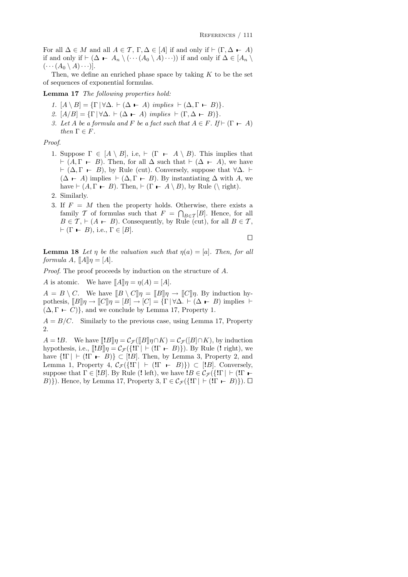For all  $\Delta \in M$  and all  $A \in \mathcal{T}$ ,  $\Gamma, \Delta \in [A]$  if and only if  $\vdash (\Gamma, \Delta \vdash A)$ if and only if  $\vdash (\Delta \vdash A_n \setminus (\cdots (A_0 \setminus A) \cdots))$  if and only if  $\Delta \in [A_n \setminus$  $(\cdots (A_0 \setminus A) \cdots)].$ 

Then, we define an enriched phase space by taking *K* to be the set of sequences of exponential formulas.

Lemma 17 *The following properties hold:*

- *1.*  $[A \setminus B] = {\Gamma | \forall \Delta$ .  $\vdash (\Delta \vdash A) \text{ implies } \vdash (\Delta, \Gamma \vdash B)}.$
- *2.*  $[A/B] = {\Gamma | \forall \Delta \cdot \vdash (\Delta \vdash A) \text{ implies } \vdash (\Gamma, \Delta \vdash B)}.$
- *3. Let A be a formula and F be a fact such that*  $A \in F$ *. If*  $\vdash$   $(\Gamma \vdash A)$ *then*  $\Gamma \in F$ *.*

*Proof*.

- 1. Suppose  $\Gamma \in [A \setminus B]$ , i.e,  $\vdash (\Gamma \vdash A \setminus B)$ . This implies that  $\vdash (A, \Gamma \vdash B)$ . Then, for all  $\Delta$  such that  $\vdash (\Delta \vdash A)$ , we have  $\vdash (\Delta, \Gamma \vdash B)$ , by Rule (cut). Conversely, suppose that  $\forall \Delta$ .  $\vdash$  $(\Delta \vdash A)$  implies  $\vdash (\Delta, \Gamma \vdash B)$ . By instantiating  $\Delta$  with *A*, we have  $\vdash (A, \Gamma \vdash B)$ . Then,  $\vdash (\Gamma \vdash A \setminus B)$ , by Rule ( $\setminus$  right).
- 2. Similarly.
- 3. If *F* = *M* then the property holds. Otherwise, there exists a family *T* of formulas such that  $F = \bigcap_{B \in \mathcal{F}} [B]$ . Hence, for all  $B \in \mathcal{T}$ ,  $\vdash (A \vdash B)$ . Consequently, by Rule (cut), for all  $B \in \mathcal{T}$ ,  $\vdash (\Gamma \vdash B), \text{ i.e., } \Gamma \in [B].$

 $\Box$ 

**Lemma 18** Let *n* be the valuation such that  $n(a) = [a]$ . Then, for all *formula*  $A$ *,*  $\llbracket A \rrbracket \eta = [A]$ *.* 

*Proof*. The proof proceeds by induction on the structure of *A*.

*A* is atomic. We have  $\llbracket A \rrbracket \eta = \eta(A) = [A].$ 

 $A = B \setminus C$ . We have  $\llbracket B \setminus C \rrbracket \eta = \llbracket B \rrbracket \eta \to \llbracket C \rrbracket \eta$ . By induction hypothesis,  $[Bl] \eta \rightarrow [Cl] \eta = [B] \rightarrow [C] = \{ \Gamma | \forall \Delta \vdash (\Delta \vdash B) \text{ implies } \vdash$  $(\Delta, \Gamma \vdash C)$ }, and we conclude by Lemma 17, Property 1.

 $A = B/C$ . Similarly to the previous case, using Lemma 17, Property  $\mathfrak{D}$ 

 $A = B$ . We have  $[[B]\eta] = C_{\mathcal{F}}([B]\eta \cap K) = C_{\mathcal{F}}([B]\cap K)$ , by induction hypothesis, i.e.,  $[|!B]\eta = C_{\mathcal{F}}({\{!\Gamma \mid \vdash (!\Gamma \vdash B)\}})$ . By Rule (! right), we have  $\{!\Gamma | \vdash (!\Gamma - B)\} \subset [!B]$ . Then, by Lemma 3, Property 2, and Lemma 1, Property 4,  $C_{\mathcal{F}}(\{!\Gamma | \vdash (\mathbb{I} \rightharpoonup B)\}) \subset [\mathbb{I} B]$ . Conversely, suppose that  $\Gamma \in [B]$ . By Rule (! left), we have  $B \in C_{\mathcal{F}}({\{\Gamma\}})$  + ( $\Gamma$  + *B*) $}$ ). Hence, by Lemma 17, Property 3,  $\Gamma \in C_{\mathcal{F}}(\{\Gamma \mid \Gamma \vdash (\Gamma \vdash B)\})$ .  $\Box$